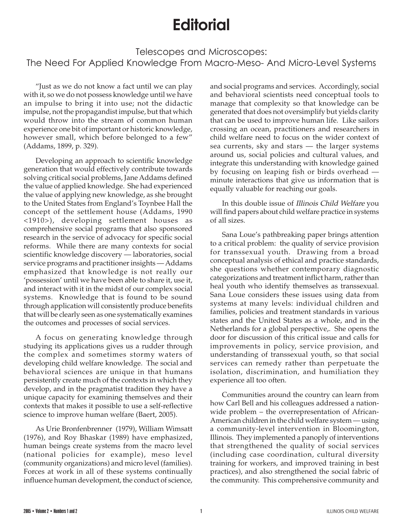## **Editorial**

## Telescopes and Microscopes: The Need For Applied Knowledge From Macro-Meso- And Micro-Level Systems

"Just as we do not know a fact until we can play with it, so we do not possess knowledge until we have an impulse to bring it into use; not the didactic impulse, not the propagandist impulse, but that which would throw into the stream of common human experience one bit of important or historic knowledge, however small, which before belonged to a few" (Addams, 1899, p. 329).

Developing an approach to scientific knowledge generation that would effectively contribute towards solving critical social problems, Jane Addams defined the value of applied knowledge. She had experienced the value of applying new knowledge, as she brought to the United States from England's Toynbee Hall the concept of the settlement house (Addams, 1990 <1910>), developing settlement houses as comprehensive social programs that also sponsored research in the service of advocacy for specific social reforms. While there are many contexts for social scientific knowledge discovery — laboratories, social service programs and practitioner insights — Addams emphasized that knowledge is not really our 'possession' until we have been able to share it, use it, and interact with it in the midst of our complex social systems. Knowledge that is found to be sound through application will consistently produce benefits that will be clearly seen as one systematically examines the outcomes and processes of social services.

A focus on generating knowledge through studying its applications gives us a rudder through the complex and sometimes stormy waters of developing child welfare knowledge. The social and behavioral sciences are unique in that humans persistently create much of the contexts in which they develop, and in the pragmatist tradition they have a unique capacity for examining themselves and their contexts that makes it possible to use a self-reflective science to improve human welfare (Baert, 2005).

As Urie Bronfenbrenner (1979), William Wimsatt (1976), and Roy Bhaskar (1989) have emphasized, human beings create systems from the macro level (national policies for example), meso level (community organizations) and micro level (families). Forces at work in all of these systems continually influence human development, the conduct of science,

and social programs and services. Accordingly, social and behavioral scientists need conceptual tools to manage that complexity so that knowledge can be generated that does not oversimplify but yields clarity that can be used to improve human life. Like sailors crossing an ocean, practitioners and researchers in child welfare need to focus on the wider context of sea currents, sky and stars — the larger systems around us, social policies and cultural values, and integrate this understanding with knowledge gained by focusing on leaping fish or birds overhead minute interactions that give us information that is equally valuable for reaching our goals.

In this double issue of Illinois Child Welfare you will find papers about child welfare practice in systems of all sizes.

Sana Loue's pathbreaking paper brings attention to a critical problem: the quality of service provision for transsexual youth. Drawing from a broad conceptual analysis of ethical and practice standards, she questions whether contemporary diagnostic categorizations and treatment inflict harm, rather than heal youth who identify themselves as transsexual. Sana Loue considers these issues using data from systems at many levels: individual children and families, policies and treatment standards in various states and the United States as a whole, and in the Netherlands for a global perspective,. She opens the door for discussion of this critical issue and calls for improvements in policy, service provision, and understanding of transsexual youth, so that social services can remedy rather than perpetuate the isolation, discrimination, and humiliation they experience all too often.

Communities around the country can learn from how Carl Bell and his colleagues addressed a nationwide problem – the overrepresentation of African-American children in the child welfare system — using a community-level intervention in Bloomington, Illinois. They implemented a panoply of interventions that strengthened the quality of social services (including case coordination, cultural diversity training for workers, and improved training in best practices), and also strengthened the social fabric of the community. This comprehensive community and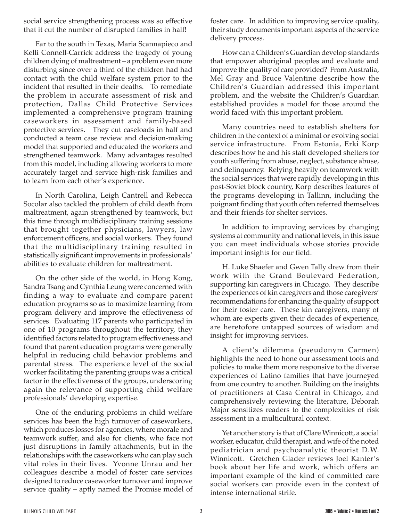social service strengthening process was so effective that it cut the number of disrupted families in half!

Far to the south in Texas, Maria Scannapieco and Kelli Connell-Carrick address the tragedy of young children dying of maltreatment – a problem even more disturbing since over a third of the children had had contact with the child welfare system prior to the incident that resulted in their deaths. To remediate the problem in accurate assessment of risk and protection, Dallas Child Protective Services implemented a comprehensive program training caseworkers in assessment and family-based protective services. They cut caseloads in half and conducted a team case review and decision-making model that supported and educated the workers and strengthened teamwork. Many advantages resulted from this model, including allowing workers to more accurately target and service high-risk families and to learn from each other's experience.

In North Carolina, Leigh Cantrell and Rebecca Socolar also tackled the problem of child death from maltreatment, again strengthened by teamwork, but this time through multidisciplinary training sessions that brought together physicians, lawyers, law enforcement officers, and social workers. They found that the multidisciplinary training resulted in statistically significant improvements in professionals' abilities to evaluate children for maltreatment.

On the other side of the world, in Hong Kong, Sandra Tsang and Cynthia Leung were concerned with finding a way to evaluate and compare parent education programs so as to maximize learning from program delivery and improve the effectiveness of services. Evaluating 117 parents who participated in one of 10 programs throughout the territory, they identified factors related to program effectiveness and found that parent education programs were generally helpful in reducing child behavior problems and parental stress. The experience level of the social worker facilitating the parenting groups was a critical factor in the effectiveness of the groups, underscoring again the relevance of supporting child welfare professionals' developing expertise.

One of the enduring problems in child welfare services has been the high turnover of caseworkers, which produces losses for agencies, where morale and teamwork suffer, and also for clients, who face not just disruptions in family attachments, but in the relationships with the caseworkers who can play such vital roles in their lives. Yvonne Unrau and her colleagues describe a model of foster care services designed to reduce caseworker turnover and improve service quality – aptly named the Promise model of foster care. In addition to improving service quality, their study documents important aspects of the service delivery process.

How can a Children's Guardian develop standards that empower aboriginal peoples and evaluate and improve the quality of care provided? From Australia, Mel Gray and Bruce Valentine describe how the Children's Guardian addressed this important problem, and the website the Children's Guardian established provides a model for those around the world faced with this important problem.

Many countries need to establish shelters for children in the context of a minimal or evolving social service infrastructure. From Estonia, Erki Korp describes how he and his staff developed shelters for youth suffering from abuse, neglect, substance abuse, and delinquency. Relying heavily on teamwork with the social services that were rapidly developing in this post-Soviet block country, Korp describes features of the programs developing in Tallinn, including the poignant finding that youth often referred themselves and their friends for shelter services.

In addition to improving services by changing systems at community and national levels, in this issue you can meet individuals whose stories provide important insights for our field.

H. Luke Shaefer and Gwen Tally drew from their work with the Grand Boulevard Federation, supporting kin caregivers in Chicago. They describe the experiences of kin caregivers and those caregivers' recommendations for enhancing the quality of support for their foster care. These kin caregivers, many of whom are experts given their decades of experience, are heretofore untapped sources of wisdom and insight for improving services.

A client's dilemma (pseudonym Carmen) highlights the need to hone our assessment tools and policies to make them more responsive to the diverse experiences of Latino families that have journeyed from one country to another. Building on the insights of practitioners at Casa Central in Chicago, and comprehensively reviewing the literature, Deborah Major sensitizes readers to the complexities of risk assessment in a multicultural context.

Yet another story is that of Clare Winnicott, a social worker, educator, child therapist, and wife of the noted pediatrician and psychoanalytic theorist D.W. Winnicott. Gretchen Glader reviews Joel Kanter's book about her life and work, which offers an important example of the kind of committed care social workers can provide even in the context of intense international strife.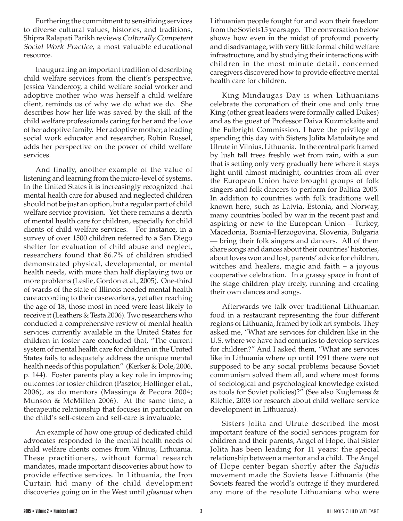Furthering the commitment to sensitizing services to diverse cultural values, histories, and traditions, Shipra Ralapati Parikh reviews Culturally Competent Social Work Practice, a most valuable educational resource.

Inaugurating an important tradition of describing child welfare services from the client's perspective, Jessica Vandercoy, a child welfare social worker and adoptive mother who was herself a child welfare client, reminds us of why we do what we do. She describes how her life was saved by the skill of the child welfare professionals caring for her and the love of her adoptive family. Her adoptive mother, a leading social work educator and researcher, Robin Russel, adds her perspective on the power of child welfare services.

And finally, another example of the value of listening and learning from the micro-level of systems. In the United States it is increasingly recognized that mental health care for abused and neglected children should not be just an option, but a regular part of child welfare service provision. Yet there remains a dearth of mental health care for children, especially for child clients of child welfare services. For instance, in a survey of over 1500 children referred to a San Diego shelter for evaluation of child abuse and neglect, researchers found that 86.7% of children studied demonstrated physical, developmental, or mental health needs, with more than half displaying two or more problems (Leslie, Gordon et al., 2005). One-third of wards of the state of Illinois needed mental health care according to their caseworkers, yet after reaching the age of 18, those most in need were least likely to receive it (Leathers & Testa 2006). Two researchers who conducted a comprehensive review of mental health services currently available in the United States for children in foster care concluded that, "The current system of mental health care for children in the United States fails to adequately address the unique mental health needs of this population" (Kerker & Dole, 2006, p. 144). Foster parents play a key role in improving outcomes for foster children (Pasztor, Hollinger et al., 2006), as do mentors (Massinga & Pecora 2004; Munson & McMillen 2006). At the same time, a therapeutic relationship that focuses in particular on the child's self-esteem and self-care is invaluable.

An example of how one group of dedicated child advocates responded to the mental health needs of child welfare clients comes from Vilnius, Lithuania. These practitioners, without formal research mandates, made important discoveries about how to provide effective services. In Lithuania, the Iron Curtain hid many of the child development discoveries going on in the West until glasnost when Lithuanian people fought for and won their freedom from the Soviets15 years ago. The conversation below shows how even in the midst of profound poverty and disadvantage, with very little formal child welfare infrastructure, and by studying their interactions with children in the most minute detail, concerned caregivers discovered how to provide effective mental health care for children.

King Mindaugas Day is when Lithuanians celebrate the coronation of their one and only true King (other great leaders were formally called Dukes) and as the guest of Professor Daiva Kuzmickaite and the Fulbright Commission, I have the privilege of spending this day with Sisters Jolita Matulaityte and Ulrute in Vilnius, Lithuania. In the central park framed by lush tall trees freshly wet from rain, with a sun that is setting only very gradually here where it stays light until almost midnight, countries from all over the European Union have brought groups of folk singers and folk dancers to perform for Baltica 2005. In addition to countries with folk traditions well known here, such as Latvia, Estonia, and Norway, many countries boiled by war in the recent past and aspiring or new to the European Union – Turkey, Macedonia, Bosnia-Herzogovina, Slovenia, Bulgaria — bring their folk singers and dancers. All of them share songs and dances about their countries' histories, about loves won and lost, parents' advice for children, witches and healers, magic and faith – a joyous cooperative celebration. In a grassy space in front of the stage children play freely, running and creating their own dances and songs.

Afterwards we talk over traditional Lithuanian food in a restaurant representing the four different regions of Lithuania, framed by folk art symbols. They asked me, "What are services for children like in the U.S. where we have had centuries to develop services for children?" And I asked them, "What are services like in Lithuania where up until 1991 there were not supposed to be any social problems because Soviet communism solved them all, and where most forms of sociological and psychological knowledge existed as tools for Soviet policies)?" (See also Kuglemass & Ritchie, 2003 for research about child welfare service development in Lithuania).

Sisters Jolita and Ulrute described the most important feature of the social services program for children and their parents, Angel of Hope, that Sister Jolita has been leading for 11 years: the special relationship between a mentor and a child. The Angel of Hope center began shortly after the Sajudis movement made the Soviets leave Lithuania (the Soviets feared the world's outrage if they murdered any more of the resolute Lithuanians who were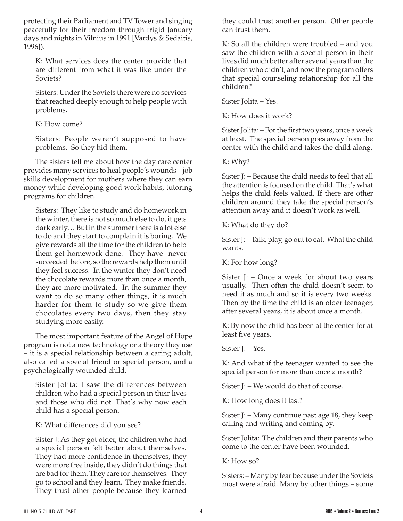protecting their Parliament and TV Tower and singing peacefully for their freedom through frigid January days and nights in Vilnius in 1991 [Vardys & Sedaitis, 1996]).

K: What services does the center provide that are different from what it was like under the Soviets?

Sisters: Under the Soviets there were no services that reached deeply enough to help people with problems.

K: How come?

Sisters: People weren't supposed to have problems. So they hid them.

The sisters tell me about how the day care center provides many services to heal people's wounds – job skills development for mothers where they can earn money while developing good work habits, tutoring programs for children.

Sisters: They like to study and do homework in the winter, there is not so much else to do, it gets dark early… But in the summer there is a lot else to do and they start to complain it is boring. We give rewards all the time for the children to help them get homework done. They have never succeeded before, so the rewards help them until they feel success. In the winter they don't need the chocolate rewards more than once a month, they are more motivated. In the summer they want to do so many other things, it is much harder for them to study so we give them chocolates every two days, then they stay studying more easily.

The most important feature of the Angel of Hope program is not a new technology or a theory they use – it is a special relationship between a caring adult, also called a special friend or special person, and a psychologically wounded child.

Sister Jolita: I saw the differences between children who had a special person in their lives and those who did not. That's why now each child has a special person.

K: What differences did you see?

Sister J: As they got older, the children who had a special person felt better about themselves. They had more confidence in themselves, they were more free inside, they didn't do things that are bad for them. They care for themselves. They go to school and they learn. They make friends. They trust other people because they learned they could trust another person. Other people can trust them.

K: So all the children were troubled – and you saw the children with a special person in their lives did much better after several years than the children who didn't, and now the program offers that special counseling relationship for all the children?

Sister Jolita – Yes.

K: How does it work?

Sister Jolita: – For the first two years, once a week at least. The special person goes away from the center with the child and takes the child along.

K: Why?

Sister J: – Because the child needs to feel that all the attention is focused on the child. That's what helps the child feels valued. If there are other children around they take the special person's attention away and it doesn't work as well.

K: What do they do?

Sister J: – Talk, play, go out to eat. What the child wants.

K: For how long?

Sister J: – Once a week for about two years usually. Then often the child doesn't seem to need it as much and so it is every two weeks. Then by the time the child is an older teenager, after several years, it is about once a month.

K: By now the child has been at the center for at least five years.

Sister J: – Yes.

K: And what if the teenager wanted to see the special person for more than once a month?

Sister J: – We would do that of course.

K: How long does it last?

Sister J: – Many continue past age 18, they keep calling and writing and coming by.

Sister Jolita: The children and their parents who come to the center have been wounded.

K: How so?

Sisters: – Many by fear because under the Soviets most were afraid. Many by other things – some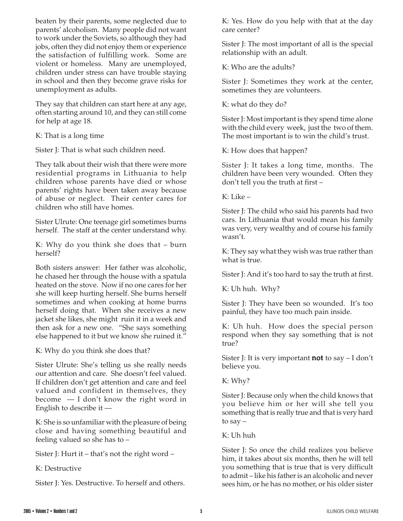beaten by their parents, some neglected due to parents' alcoholism. Many people did not want to work under the Soviets, so although they had jobs, often they did not enjoy them or experience the satisfaction of fulfilling work. Some are violent or homeless. Many are unemployed, children under stress can have trouble staying in school and then they become grave risks for unemployment as adults.

They say that children can start here at any age, often starting around 10, and they can still come for help at age 18.

K: That is a long time

Sister J: That is what such children need.

They talk about their wish that there were more residential programs in Lithuania to help children whose parents have died or whose parents' rights have been taken away because of abuse or neglect. Their center cares for children who still have homes.

Sister Ulrute: One teenage girl sometimes burns herself. The staff at the center understand why.

K: Why do you think she does that – burn herself?

Both sisters answer: Her father was alcoholic, he chased her through the house with a spatula heated on the stove. Now if no one cares for her she will keep hurting herself. She burns herself sometimes and when cooking at home burns herself doing that. When she receives a new jacket she likes, she might ruin it in a week and then ask for a new one. "She says something else happened to it but we know she ruined it."

K: Why do you think she does that?

Sister Ulrute: She's telling us she really needs our attention and care. She doesn't feel valued. If children don't get attention and care and feel valued and confident in themselves, they become — I don't know the right word in English to describe it —

K: She is so unfamiliar with the pleasure of being close and having something beautiful and feeling valued so she has to –

Sister J: Hurt it – that's not the right word –

K: Destructive

Sister J: Yes. Destructive. To herself and others.

K: Yes. How do you help with that at the day care center?

Sister J: The most important of all is the special relationship with an adult.

K: Who are the adults?

Sister J: Sometimes they work at the center, sometimes they are volunteers.

K: what do they do?

Sister J: Most important is they spend time alone with the child every week, just the two of them. The most important is to win the child's trust.

K: How does that happen?

Sister J: It takes a long time, months. The children have been very wounded. Often they don't tell you the truth at first –

K: Like –

Sister J: The child who said his parents had two cars. In Lithuania that would mean his family was very, very wealthy and of course his family wasn't.

K: They say what they wish was true rather than what is true.

Sister J: And it's too hard to say the truth at first.

K: Uh huh. Why?

Sister J: They have been so wounded. It's too painful, they have too much pain inside.

K: Uh huh. How does the special person respond when they say something that is not true?

Sister J: It is very important **not** to say  $- I$  don't believe you.

K: Why?

Sister J: Because only when the child knows that you believe him or her will she tell you something that is really true and that is very hard to say –

K: Uh huh

Sister J: So once the child realizes you believe him, it takes about six months, then he will tell you something that is true that is very difficult to admit – like his father is an alcoholic and never sees him, or he has no mother, or his older sister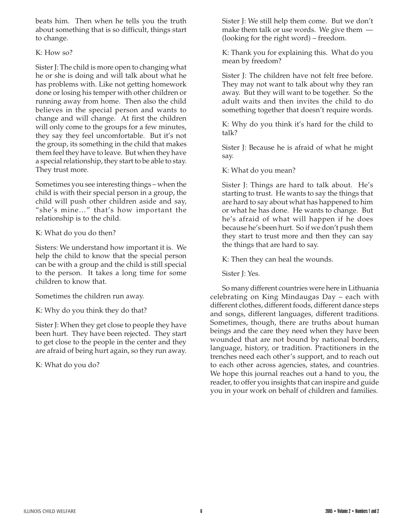beats him. Then when he tells you the truth about something that is so difficult, things start to change.

## K: How so?

Sister J: The child is more open to changing what he or she is doing and will talk about what he has problems with. Like not getting homework done or losing his temper with other children or running away from home. Then also the child believes in the special person and wants to change and will change. At first the children will only come to the groups for a few minutes, they say they feel uncomfortable. But it's not the group, its something in the child that makes them feel they have to leave. But when they have a special relationship, they start to be able to stay. They trust more.

Sometimes you see interesting things – when the child is with their special person in a group, the child will push other children aside and say, "she's mine…" that's how important the relationship is to the child.

K: What do you do then?

Sisters: We understand how important it is. We help the child to know that the special person can be with a group and the child is still special to the person. It takes a long time for some children to know that.

Sometimes the children run away.

K: Why do you think they do that?

Sister J: When they get close to people they have been hurt. They have been rejected. They start to get close to the people in the center and they are afraid of being hurt again, so they run away.

K: What do you do?

Sister J: We still help them come. But we don't make them talk or use words. We give them — (looking for the right word) – freedom.

K: Thank you for explaining this. What do you mean by freedom?

Sister J: The children have not felt free before. They may not want to talk about why they ran away. But they will want to be together. So the adult waits and then invites the child to do something together that doesn't require words.

K: Why do you think it's hard for the child to talk?

Sister J: Because he is afraid of what he might say.

K: What do you mean?

Sister J: Things are hard to talk about. He's starting to trust. He wants to say the things that are hard to say about what has happened to him or what he has done. He wants to change. But he's afraid of what will happen if he does because he's been hurt. So if we don't push them they start to trust more and then they can say the things that are hard to say.

K: Then they can heal the wounds.

Sister J: Yes.

So many different countries were here in Lithuania celebrating on King Mindaugas Day – each with different clothes, different foods, different dance steps and songs, different languages, different traditions. Sometimes, though, there are truths about human beings and the care they need when they have been wounded that are not bound by national borders, language, history, or tradition. Practitioners in the trenches need each other's support, and to reach out to each other across agencies, states, and countries. We hope this journal reaches out a hand to you, the reader, to offer you insights that can inspire and guide you in your work on behalf of children and families.